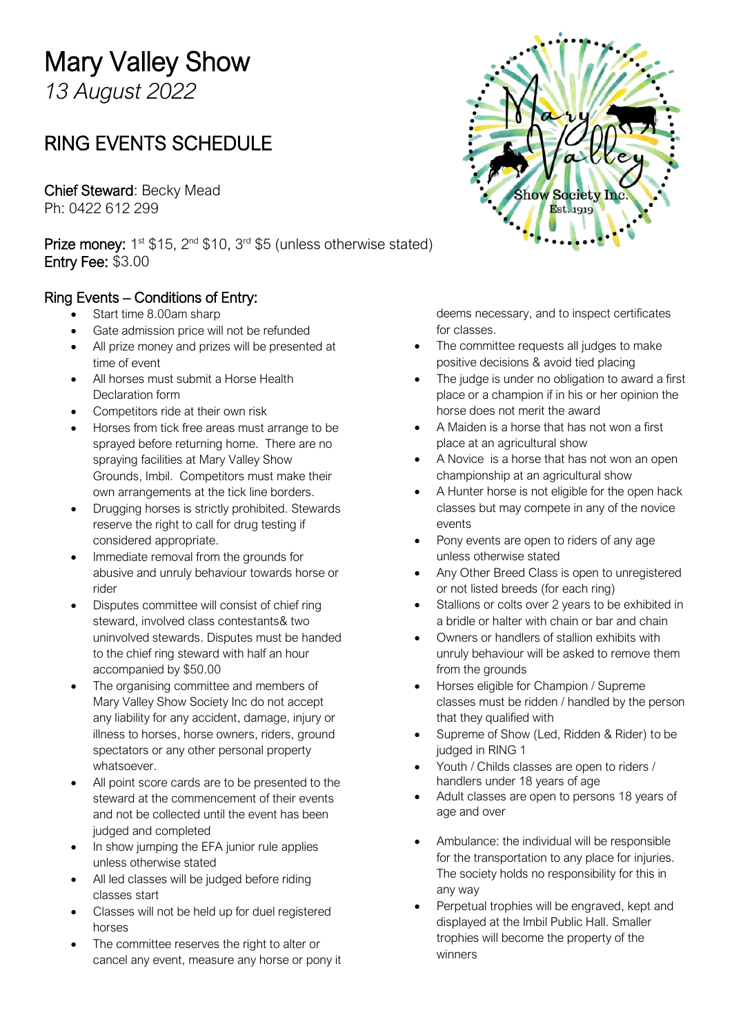# Mary Valley Show

*13 August 2022*

# RING EVENTS SCHEDULE

Chief Steward: Becky Mead Ph: 0422 612 299

**Prize money:**  $1^{st}$  \$15,  $2^{nd}$  \$10,  $3^{rd}$  \$5 (unless otherwise stated) Entry Fee: \$3.00

#### Ring Events – Conditions of Entry:

- Start time 8.00am sharp
- Gate admission price will not be refunded
- All prize money and prizes will be presented at time of event
- All horses must submit a Horse Health Declaration form
- Competitors ride at their own risk
- Horses from tick free areas must arrange to be sprayed before returning home. There are no spraying facilities at Mary Valley Show Grounds, Imbil. Competitors must make their own arrangements at the tick line borders.
- Drugging horses is strictly prohibited. Stewards reserve the right to call for drug testing if considered appropriate.
- Immediate removal from the grounds for abusive and unruly behaviour towards horse or rider
- Disputes committee will consist of chief ring steward, involved class contestants& two uninvolved stewards. Disputes must be handed to the chief ring steward with half an hour accompanied by \$50.00
- The organising committee and members of Mary Valley Show Society Inc do not accept any liability for any accident, damage, injury or illness to horses, horse owners, riders, ground spectators or any other personal property whatsoever.
- All point score cards are to be presented to the steward at the commencement of their events and not be collected until the event has been judged and completed
- In show jumping the EFA junior rule applies unless otherwise stated
- All led classes will be judged before riding classes start
- Classes will not be held up for duel registered horses
- The committee reserves the right to alter or cancel any event, measure any horse or pony it



deems necessary, and to inspect certificates for classes.

- The committee requests all judges to make positive decisions & avoid tied placing
- The judge is under no obligation to award a first place or a champion if in his or her opinion the horse does not merit the award
- A Maiden is a horse that has not won a first place at an agricultural show
- A Novice is a horse that has not won an open championship at an agricultural show
- A Hunter horse is not eligible for the open hack classes but may compete in any of the novice events
- Pony events are open to riders of any age unless otherwise stated
- Any Other Breed Class is open to unregistered or not listed breeds (for each ring)
- Stallions or colts over 2 years to be exhibited in a bridle or halter with chain or bar and chain
- Owners or handlers of stallion exhibits with unruly behaviour will be asked to remove them from the grounds
- Horses eligible for Champion / Supreme classes must be ridden / handled by the person that they qualified with
- Supreme of Show (Led, Ridden & Rider) to be judged in RING 1
- Youth / Childs classes are open to riders / handlers under 18 years of age
- Adult classes are open to persons 18 years of age and over
- Ambulance: the individual will be responsible for the transportation to any place for injuries. The society holds no responsibility for this in any way
- Perpetual trophies will be engraved, kept and displayed at the Imbil Public Hall. Smaller trophies will become the property of the winners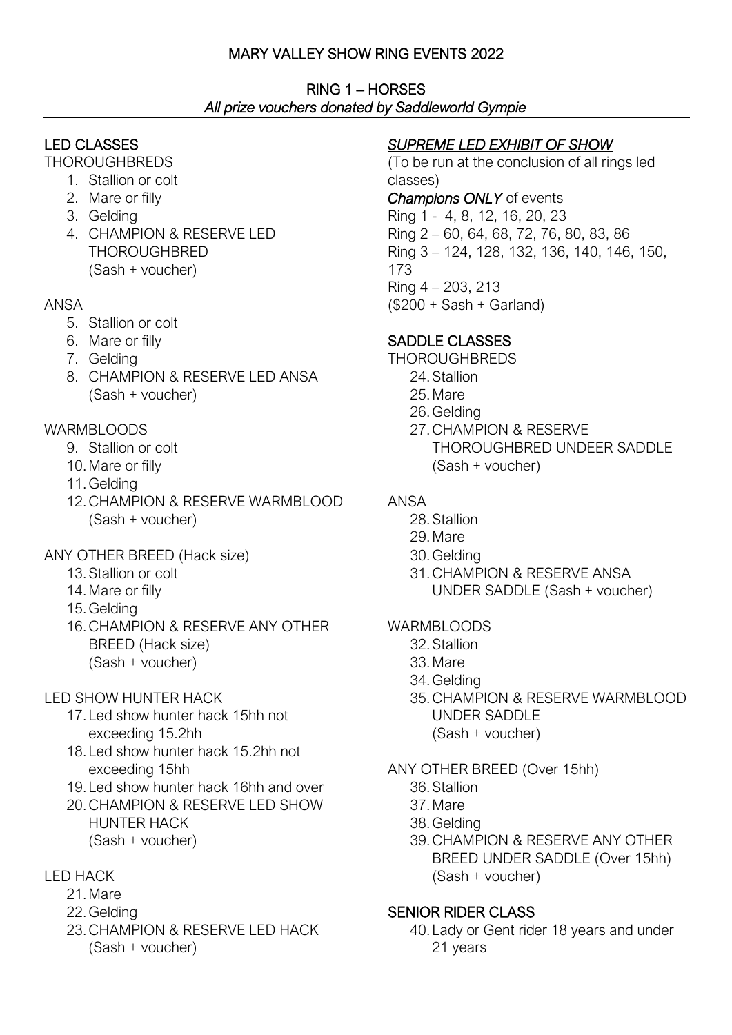# MARY VALLEY SHOW RING EVENTS 2022

RING 1 – HORSES *All prize vouchers donated by Saddleworld Gympie* 

# LED CLASSES

**THOROUGHBREDS** 

- 1. Stallion or colt
- 2. Mare or filly
- 3. Gelding
- 4. CHAMPION & RESERVE LED THOROUGHBRED (Sash + voucher)

#### ANSA

- 5. Stallion or colt
- 6. Mare or filly
- 7. Gelding
- 8. CHAMPION & RESERVE LED ANSA (Sash + voucher)

#### WARMBLOODS

- 9. Stallion or colt
- 10.Mare or filly
- 11.Gelding
- 12.CHAMPION & RESERVE WARMBLOOD (Sash + voucher)
- ANY OTHER BREED (Hack size)
	- 13.Stallion or colt
	- 14.Mare or filly
	- 15.Gelding
	- 16.CHAMPION & RESERVE ANY OTHER BREED (Hack size) (Sash + voucher)

#### LED SHOW HUNTER HACK

- 17.Led show hunter hack 15hh not exceeding 15.2hh
- 18.Led show hunter hack 15.2hh not exceeding 15hh
- 19.Led show hunter hack 16hh and over
- 20.CHAMPION & RESERVE LED SHOW HUNTER HACK (Sash + voucher)

# LED HACK

- 21.Mare
- 22.Gelding
- 23.CHAMPION & RESERVE LED HACK (Sash + voucher)

# *SUPREME LED EXHIBIT OF SHOW*

(To be run at the conclusion of all rings led classes) *Champions ONLY* of events Ring 1 - 4, 8, 12, 16, 20, 23 Ring 2 – 60, 64, 68, 72, 76, 80, 83, 86 Ring 3 – 124, 128, 132, 136, 140, 146, 150, 173 Ring 4 – 203, 213  $($200 + Sash + Garland)$ 

# SADDLE CLASSES

- **THOROUGHBREDS** 
	- 24.Stallion
	- 25.Mare
	- 26.Gelding
	- 27.CHAMPION & RESERVE THOROUGHBRED UNDEER SADDLE (Sash + voucher)

# ANSA

- 28.Stallion
- 29.Mare
- 30.Gelding
- 31.CHAMPION & RESERVE ANSA UNDER SADDLE (Sash + voucher)

#### WARMBLOODS

- 32.Stallion
- 33.Mare
- 34.Gelding
- 35.CHAMPION & RESERVE WARMBLOOD UNDER SADDLE (Sash + voucher)

#### ANY OTHER BREED (Over 15hh)

- 36.Stallion
- 37.Mare
- 38.Gelding
- 39.CHAMPION & RESERVE ANY OTHER BREED UNDER SADDLE (Over 15hh) (Sash + voucher)

#### SENIOR RIDER CLASS

40.Lady or Gent rider 18 years and under 21 years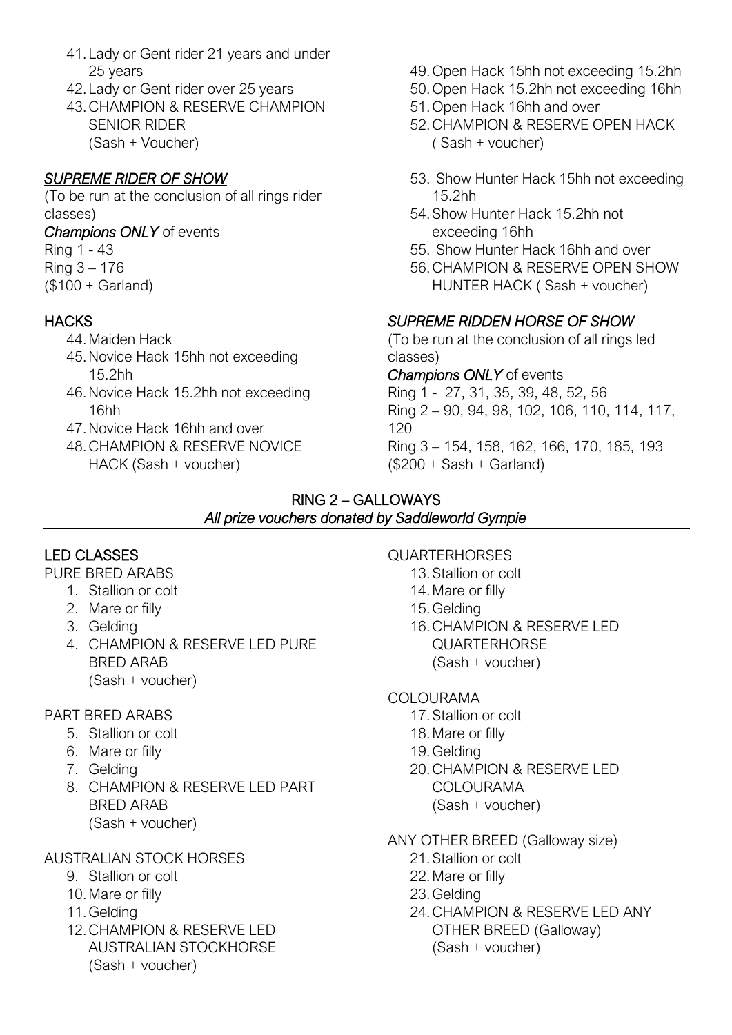- 41.Lady or Gent rider 21 years and under 25 years
- 42.Lady or Gent rider over 25 years
- 43.CHAMPION & RESERVE CHAMPION SENIOR RIDER (Sash + Voucher)

# *SUPREME RIDER OF SHOW*

(To be run at the conclusion of all rings rider classes)

*Champions ONLY* of events

# Ring 1 - 43

- Ring 3 176
- (\$100 + Garland)

# **HACKS**

- 44.Maiden Hack
- 45.Novice Hack 15hh not exceeding 15.2hh
- 46.Novice Hack 15.2hh not exceeding 16hh
- 47.Novice Hack 16hh and over
- 48.CHAMPION & RESERVE NOVICE HACK (Sash + voucher)
- 49.Open Hack 15hh not exceeding 15.2hh
- 50.Open Hack 15.2hh not exceeding 16hh
- 51.Open Hack 16hh and over
- 52.CHAMPION & RESERVE OPEN HACK ( Sash + voucher)
- 53. Show Hunter Hack 15hh not exceeding 15.2hh
- 54.Show Hunter Hack 15.2hh not exceeding 16hh
- 55. Show Hunter Hack 16hh and over
- 56.CHAMPION & RESERVE OPEN SHOW HUNTER HACK ( Sash + voucher)

# *SUPREME RIDDEN HORSE OF SHOW*

(To be run at the conclusion of all rings led classes)

#### *Champions ONLY* of events

Ring 1 - 27, 31, 35, 39, 48, 52, 56 Ring 2 – 90, 94, 98, 102, 106, 110, 114, 117,  $120$ Ring 3 – 154, 158, 162, 166, 170, 185, 193  $($200 + Sash + Garland)$ 

#### RING 2 – GALLOWAYS *All prize vouchers donated by Saddleworld Gympie*

# LED CLASSES

#### PURE BRED ARABS

- 1. Stallion or colt
- 2. Mare or filly
- 3. Gelding
- 4. CHAMPION & RESERVE LED PURE BRED ARAB (Sash + voucher)

#### PART BRED ARABS

- 5. Stallion or colt
- 6. Mare or filly
- 7. Gelding
- 8. CHAMPION & RESERVE LED PART BRED ARAB (Sash + voucher)

# AUSTRALIAN STOCK HORSES

- 9. Stallion or colt
- 10.Mare or filly
- 11.Gelding
- 12.CHAMPION & RESERVE LED AUSTRALIAN STOCKHORSE (Sash + voucher)

# QUARTERHORSES

- 13.Stallion or colt
- 14.Mare or filly
- 15.Gelding
- 16.CHAMPION & RESERVE LED QUARTERHORSE
	- (Sash + voucher)

#### COLOURAMA

- 17.Stallion or colt
- 18.Mare or filly
- 19.Gelding
- 20.CHAMPION & RESERVE LED
	- COLOURAMA
	- (Sash + voucher)
- ANY OTHER BREED (Galloway size)
	- 21.Stallion or colt
	- 22.Mare or filly
	- 23.Gelding
	- 24.CHAMPION & RESERVE LED ANY OTHER BREED (Galloway) (Sash + voucher)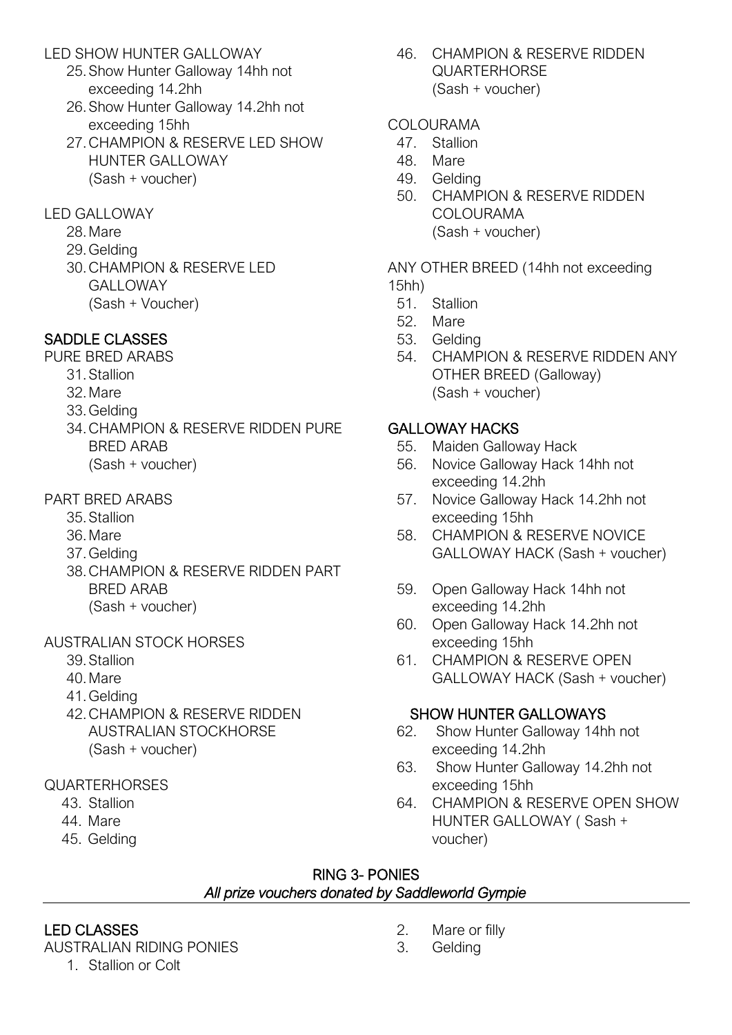#### LED SHOW HUNTER GALLOWAY

- 25.Show Hunter Galloway 14hh not exceeding 14.2hh
- 26.Show Hunter Galloway 14.2hh not exceeding 15hh
- 27.CHAMPION & RESERVE LED SHOW HUNTER GALLOWAY (Sash + voucher)

#### LED GALLOWAY

- 28.Mare
- 29.Gelding
- 30.CHAMPION & RESERVE LED **GALLOWAY** (Sash + Voucher)

# SADDLE CLASSES

PURE BRED ARABS

- 31.Stallion
- 32.Mare
- 33.Gelding
- 34.CHAMPION & RESERVE RIDDEN PURE BRED ARAB (Sash + voucher)

#### PART BRED ARABS

- 35.Stallion
- 36.Mare
- 37.Gelding
- 38.CHAMPION & RESERVE RIDDEN PART BRED ARAB (Sash + voucher)

#### AUSTRALIAN STOCK HORSES

- 39.Stallion
- 40.Mare
- 41.Gelding
- 42.CHAMPION & RESERVE RIDDEN AUSTRALIAN STOCKHORSE (Sash + voucher)
- QUARTERHORSES
	- 43. Stallion
	- 44. Mare
	- 45. Gelding

46. CHAMPION & RESERVE RIDDEN QUARTERHORSE (Sash + voucher)

#### COLOURAMA

- 47. Stallion
- 48. Mare
- 49. Gelding
- 50. CHAMPION & RESERVE RIDDEN COLOURAMA (Sash + voucher)

ANY OTHER BREED (14hh not exceeding 15hh)

- 51. Stallion
- 52. Mare
- 53. Gelding
- 54. CHAMPION & RESERVE RIDDEN ANY OTHER BREED (Galloway) (Sash + voucher)

#### GALLOWAY HACKS

- 55. Maiden Galloway Hack
- 56. Novice Galloway Hack 14hh not exceeding 14.2hh
- 57. Novice Galloway Hack 14.2hh not exceeding 15hh
- 58. CHAMPION & RESERVE NOVICE GALLOWAY HACK (Sash + voucher)
- 59. Open Galloway Hack 14hh not exceeding 14.2hh
- 60. Open Galloway Hack 14.2hh not exceeding 15hh
- 61. CHAMPION & RESERVE OPEN GALLOWAY HACK (Sash + voucher)

#### SHOW HUNTER GALLOWAYS

- 62. Show Hunter Galloway 14hh not exceeding 14.2hh
- 63. Show Hunter Galloway 14.2hh not exceeding 15hh
- 64. CHAMPION & RESERVE OPEN SHOW HUNTER GALLOWAY ( Sash + voucher)

#### RING 3- PONIES *All prize vouchers donated by Saddleworld Gympie*

#### LED CLASSES

AUSTRALIAN RIDING PONIES

1. Stallion or Colt

- 2. Mare or filly
- 3. Gelding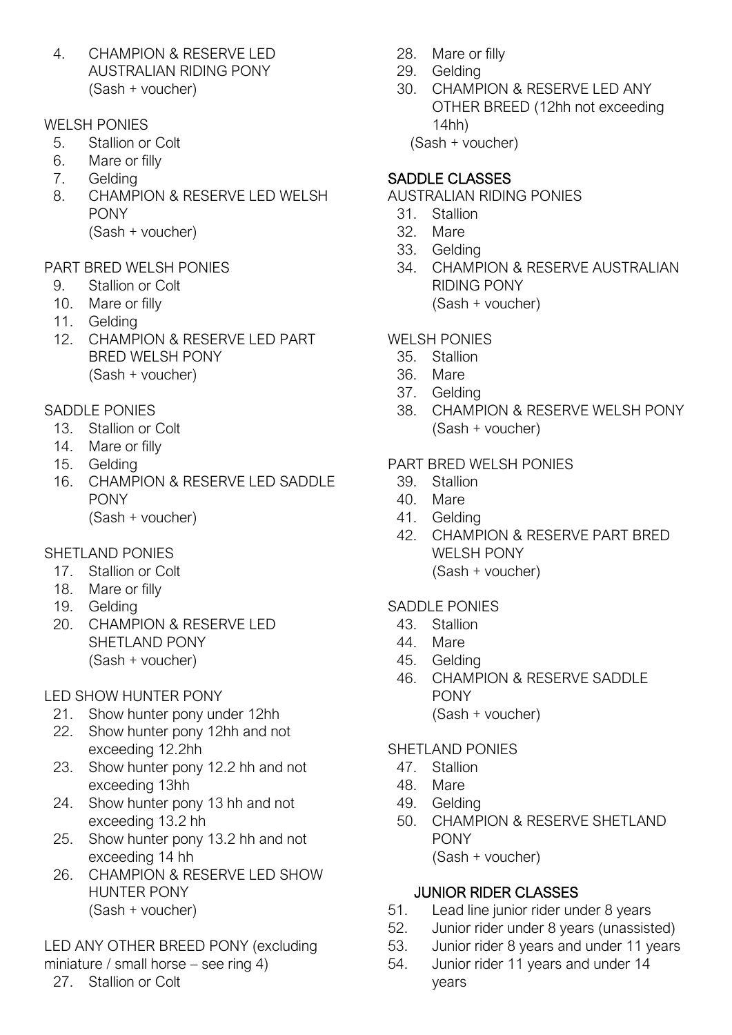4. CHAMPION & RESERVE LED AUSTRALIAN RIDING PONY (Sash + voucher)

#### WELSH PONIES

- 5. Stallion or Colt
- 6. Mare or filly
- 7. Gelding
- 8. CHAMPION & RESERVE LED WELSH PONY (Sash + voucher)

# PART BRED WELSH PONIES

- 9. Stallion or Colt
- 10. Mare or filly
- 11. Gelding
- 12. CHAMPION & RESERVE LED PART BRED WELSH PONY (Sash + voucher)

#### SADDLE PONIES

- 13. Stallion or Colt
- 14. Mare or filly
- 15. Gelding
- 16. CHAMPION & RESERVE LED SADDLE PONY (Sash + voucher)

#### SHETI AND PONIES

- 17. Stallion or Colt
- 18. Mare or filly
- 19. Gelding
- 20. CHAMPION & RESERVE LED SHETI AND PONY (Sash + voucher)

#### LED SHOW HUNTER PONY

- 21. Show hunter pony under 12hh
- 22. Show hunter pony 12hh and not exceeding 12.2hh
- 23. Show hunter pony 12.2 hh and not exceeding 13hh
- 24. Show hunter pony 13 hh and not exceeding 13.2 hh
- 25. Show hunter pony 13.2 hh and not exceeding 14 hh
- 26. CHAMPION & RESERVE LED SHOW HUNTER PONY (Sash + voucher)

LED ANY OTHER BREED PONY (excluding miniature / small horse – see ring 4)

#### 27. Stallion or Colt

- 28. Mare or filly
- 29. Gelding
- 30. CHAMPION & RESERVE LED ANY OTHER BREED (12hh not exceeding 14hh)

(Sash + voucher)

# SADDLE CLASSES

- AUSTRALIAN RIDING PONIES
	- 31. Stallion
	- 32. Mare
	- 33. Gelding
	- 34. CHAMPION & RESERVE AUSTRALIAN RIDING PONY (Sash + voucher)

# WELSH PONIES

- 35. Stallion
- 36. Mare
- 37. Gelding
- 38. CHAMPION & RESERVE WELSH PONY (Sash + voucher)

# PART BRED WELSH PONIES

- 39. Stallion
- 40. Mare
- 41. Gelding
- 42. CHAMPION & RESERVE PART BRED WELSH PONY (Sash + voucher)

#### SADDLE PONIES

- 43. Stallion
- 44. Mare
- 45. Gelding
- 46. CHAMPION & RESERVE SADDLE **PONY** (Sash + voucher)

#### **SHETI AND PONIES**

- 47. Stallion
- 48. Mare
- 49. Gelding
- 50. CHAMPION & RESERVE SHETLAND PONY (Sash + voucher)

#### JUNIOR RIDER CLASSES

- 51. Lead line junior rider under 8 years
- 52. Junior rider under 8 years (unassisted)
- 53. Junior rider 8 years and under 11 years
- 54. Junior rider 11 years and under 14 years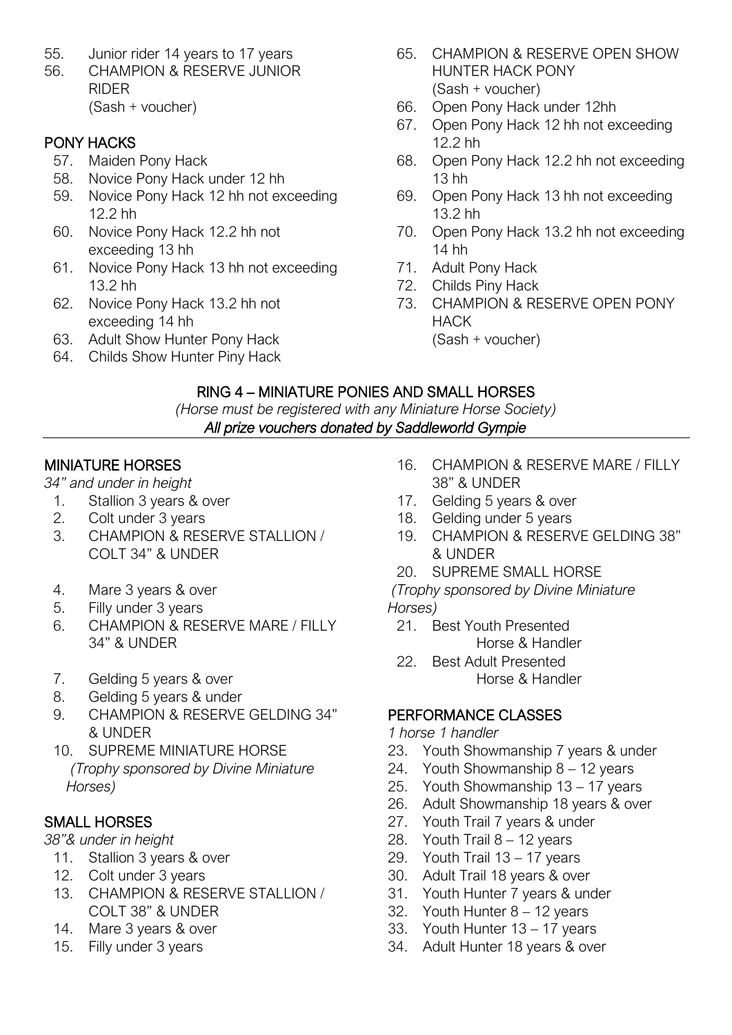- 55. Junior rider 14 years to 17 years
- 56. CHAMPION & RESERVE JUNIOR RIDER (Sash + voucher)

#### PONY HACKS

- 57. Maiden Pony Hack
- 58. Novice Pony Hack under 12 hh
- 59. Novice Pony Hack 12 hh not exceeding 12.2 hh
- 60. Novice Pony Hack 12.2 hh not exceeding 13 hh
- 61. Novice Pony Hack 13 hh not exceeding 13.2 hh
- 62. Novice Pony Hack 13.2 hh not exceeding 14 hh
- 63. Adult Show Hunter Pony Hack
- 64. Childs Show Hunter Piny Hack
- 65. CHAMPION & RESERVE OPEN SHOW HUNTER HACK PONY (Sash + voucher)
- 66. Open Pony Hack under 12hh
- 67. Open Pony Hack 12 hh not exceeding 12.2 hh
- 68. Open Pony Hack 12.2 hh not exceeding 13 hh
- 69. Open Pony Hack 13 hh not exceeding 13.2 hh
- 70. Open Pony Hack 13.2 hh not exceeding 14 hh
- 71. Adult Pony Hack
- 72. Childs Piny Hack
- 73. CHAMPION & RESERVE OPEN PONY HACK
	- (Sash + voucher)

#### RING 4 – MINIATURE PONIES AND SMALL HORSES

*(Horse must be registered with any Miniature Horse Society) All prize vouchers donated by Saddleworld Gympie* 

#### MINIATURE HORSES

*34" and under in height*

- 1. Stallion 3 years & over
- 2. Colt under 3 years
- 3. CHAMPION & RESERVE STALLION / COLT 34" & UNDER
- 4. Mare 3 years & over
- 5. Filly under 3 years
- 6. CHAMPION & RESERVE MARE / FILLY 34" & UNDER
- 7. Gelding 5 years & over
- 8. Gelding 5 years & under
- 9. CHAMPION & RESERVE GELDING 34" & UNDER
- 10. SUPREME MINIATURE HORSE *(Trophy sponsored by Divine Miniature Horses)*

#### SMALL HORSES

*38"& under in height*

- 11. Stallion 3 years & over
- 12. Colt under 3 years
- 13. CHAMPION & RESERVE STALLION / COLT 38" & UNDER
- 14. Mare 3 years & over
- 15. Filly under 3 years
- 16. CHAMPION & RESERVE MARE / FILLY 38" & UNDER
- 17. Gelding 5 years & over
- 18. Gelding under 5 years
- 19. CHAMPION & RESERVE GELDING 38" & UNDER
- 20. SUPREME SMALL HORSE

*(Trophy sponsored by Divine Miniature Horses)*

- 21. Best Youth Presented Horse & Handler
- 22. Best Adult Presented Horse & Handler

#### PERFORMANCE CLASSES

#### *1 horse 1 handler*

- 23. Youth Showmanship 7 years & under
- 24. Youth Showmanship 8 12 years
- 25. Youth Showmanship 13 17 years
- 26. Adult Showmanship 18 years & over
- 27. Youth Trail 7 years & under
- 28. Youth Trail 8 12 years
- 29. Youth Trail 13 17 years
- 30. Adult Trail 18 years & over
- 31. Youth Hunter 7 years & under
- 32. Youth Hunter 8 12 years
- 33. Youth Hunter 13 17 years
- 34. Adult Hunter 18 years & over